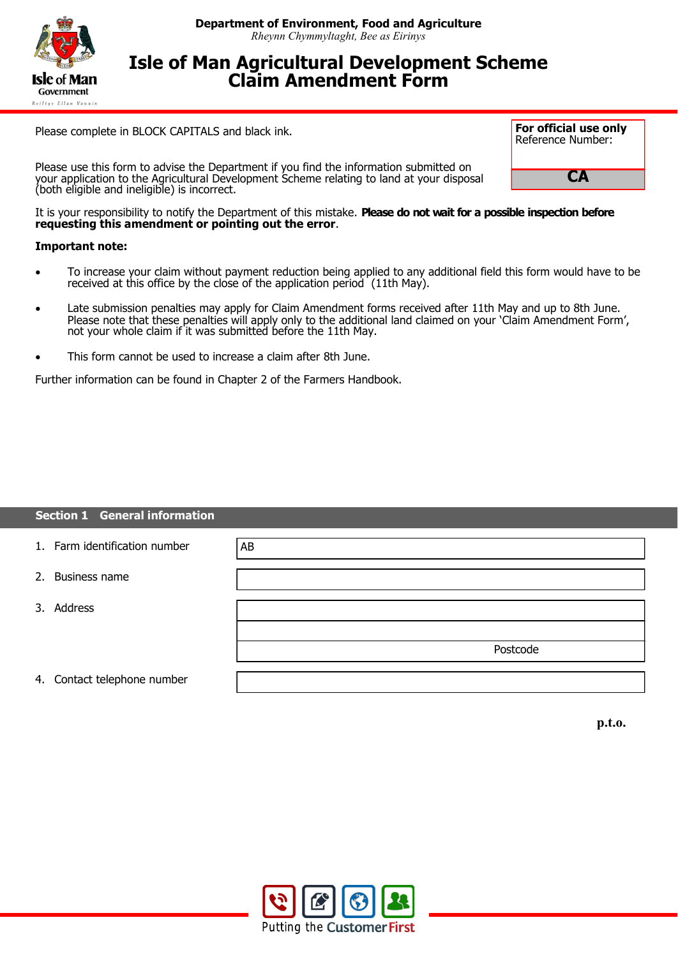

# **Isle of Man Agricultural Development Scheme Claim Amendment Form**

Please complete in BLOCK CAPITALS and black ink.

Please use this form to advise the Department if you find the information submitted on your application to the Agricultural Development Scheme relating to land at your disposal (both eligible and ineligible) is incorrect.



It is your responsibility to notify the Department of this mistake. **Please do not wait for a possible inspection before requesting this amendment or pointing out the error**.

### **Important note:**

- To increase your claim without payment reduction being applied to any additional field this form would have to be received at this office by the close of the application period (11th May).
- Late submission penalties may apply for Claim Amendment forms received after 11th May and up to 8th June. Please note that these penalties will apply only to the additional land claimed on your 'Claim Amendment Form', not your whole claim if it was submitted before the 11th May.
- This form cannot be used to increase a claim after 8th June.

Further information can be found in Chapter 2 of the Farmers Handbook.

#### **Section 1 General information**

| 1. Farm identification number | AB       |
|-------------------------------|----------|
| 2. Business name              |          |
| 3. Address                    |          |
|                               |          |
|                               | Postcode |
|                               |          |
| 4. Contact telephone number   |          |

**p.t.o.**